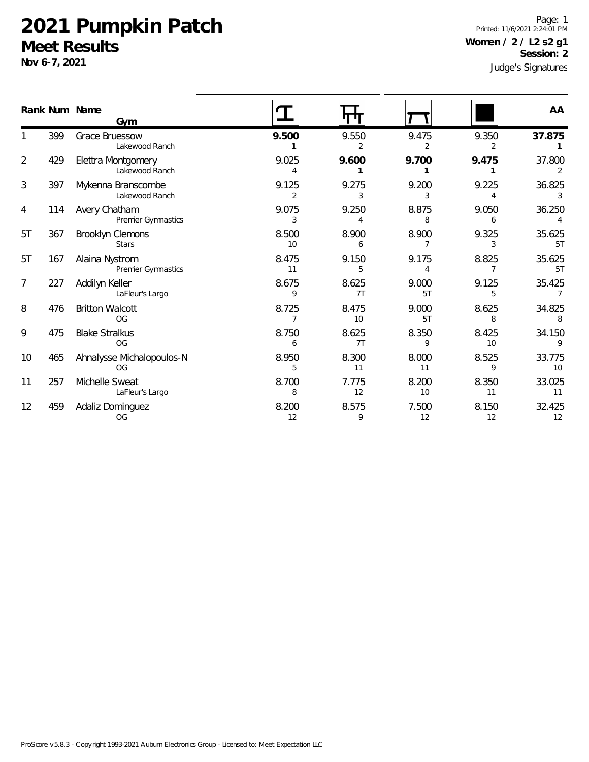**Nov 6-7, 2021**

Judge's Signatures Page: 1 Printed: 11/6/2021 2:24:01 PM **Women / 2 / L2 s2 g1 Session: 2**

|                | Rank Num Name | Gym                                  |                         |             |                        |             | AA                       |
|----------------|---------------|--------------------------------------|-------------------------|-------------|------------------------|-------------|--------------------------|
|                | 399           | Grace Bruessow<br>Lakewood Ranch     | 9.500                   | 9.550       | 9.475<br>$\mathcal{P}$ | 9.350<br>2  | 37.875                   |
| $\overline{2}$ | 429           | Elettra Montgomery<br>Lakewood Ranch | 9.025<br>4              | 9.600       | 9.700                  | 9.475       | 37.800                   |
| 3              | 397           | Mykenna Branscombe<br>Lakewood Ranch | 9.125<br>$\overline{2}$ | 9.275<br>3  | 9.200<br>3             | 9.225<br>4  | 36.825<br>3              |
| 4              | 114           | Avery Chatham<br>Premier Gymnastics  | 9.075<br>3              | 9.250<br>4  | 8.875<br>8             | 9.050<br>6  | 36.250<br>4              |
| 5T             | 367           | Brooklyn Clemons<br><b>Stars</b>     | 8.500<br>10             | 8.900<br>6  | 8.900                  | 9.325<br>3  | 35.625<br>5T             |
| 5T             | 167           | Alaina Nystrom<br>Premier Gymnastics | 8.475<br>11             | 9.150<br>5  | 9.175<br>4             | 8.825<br>7  | 35.625<br>5T             |
| $\overline{7}$ | 227           | Addilyn Keller<br>LaFleur's Largo    | 8.675<br>9              | 8.625<br>7T | 9.000<br>5T            | 9.125<br>5  | 35.425<br>$\overline{7}$ |
| 8              | 476           | <b>Britton Walcott</b><br><b>OG</b>  | 8.725<br>7              | 8.475<br>10 | 9.000<br>5T            | 8.625<br>8  | 34.825<br>8              |
| 9              | 475           | <b>Blake Stralkus</b><br>OG          | 8.750<br>6              | 8.625<br>7T | 8.350<br>9             | 8.425<br>10 | 34.150<br>9              |
| 10             | 465           | Ahnalysse Michalopoulos-N<br>OG      | 8.950<br>5              | 8.300<br>11 | 8.000<br>11            | 8.525<br>9  | 33.775<br>10             |
| 11             | 257           | Michelle Sweat<br>LaFleur's Largo    | 8.700<br>8              | 7.775<br>12 | 8.200<br>10            | 8.350<br>11 | 33.025<br>11             |
| 12             | 459           | Adaliz Dominguez<br><b>OG</b>        | 8.200<br>12             | 8.575<br>9  | 7.500<br>12            | 8.150<br>12 | 32.425<br>12             |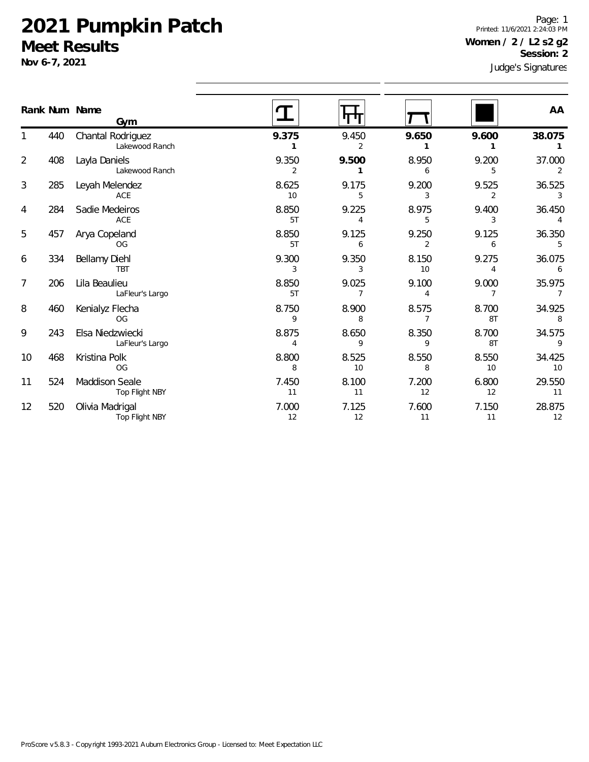**Nov 6-7, 2021**

Judge's Signatures Page: 1 Printed: 11/6/2021 2:24:03 PM **Women / 2 / L2 s2 g2 Session: 2**

|                |     | Rank Num Name<br>Gym                |                         |             |             |             | AA                       |
|----------------|-----|-------------------------------------|-------------------------|-------------|-------------|-------------|--------------------------|
| 1              | 440 | Chantal Rodriguez<br>Lakewood Ranch | 9.375                   | 9.450<br>2  | 9.650       | 9.600       | 38.075<br>1              |
| 2              | 408 | Layla Daniels<br>Lakewood Ranch     | 9.350<br>$\overline{2}$ | 9.500       | 8.950<br>6  | 9.200<br>5  | 37.000<br>2              |
| 3              | 285 | Leyah Melendez<br>ACE               | 8.625<br>10             | 9.175<br>5  | 9.200<br>3  | 9.525<br>2  | 36.525<br>3              |
| 4              | 284 | Sadie Medeiros<br>ACE               | 8.850<br>5T             | 9.225<br>4  | 8.975<br>5  | 9.400<br>3  | 36.450<br>4              |
| 5              | 457 | Arya Copeland<br><b>OG</b>          | 8.850<br>5T             | 9.125<br>6  | 9.250       | 9.125<br>6  | 36.350<br>5              |
| 6              | 334 | Bellamy Diehl<br><b>TBT</b>         | 9.300<br>3              | 9.350<br>3  | 8.150<br>10 | 9.275<br>4  | 36.075<br>6              |
| $\overline{7}$ | 206 | Lila Beaulieu<br>LaFleur's Largo    | 8.850<br>5T             | 9.025       | 9.100<br>4  | 9.000       | 35.975<br>$\overline{7}$ |
| 8              | 460 | Kenialyz Flecha<br><b>OG</b>        | 8.750<br>9              | 8.900<br>8  | 8.575<br>7  | 8.700<br>8T | 34.925<br>8              |
| 9              | 243 | Elsa Niedzwiecki<br>LaFleur's Largo | 8.875<br>Δ              | 8.650<br>9  | 8.350<br>9  | 8.700<br>8T | 34.575<br>9              |
| 10             | 468 | Kristina Polk<br><b>OG</b>          | 8.800<br>8              | 8.525<br>10 | 8.550<br>8  | 8.550<br>10 | 34.425<br>10             |
| 11             | 524 | Maddison Seale<br>Top Flight NBY    | 7.450<br>11             | 8.100<br>11 | 7.200<br>12 | 6.800<br>12 | 29.550<br>11             |
| 12             | 520 | Olivia Madrigal<br>Top Flight NBY   | 7.000<br>12             | 7.125<br>12 | 7.600<br>11 | 7.150<br>11 | 28.875<br>12             |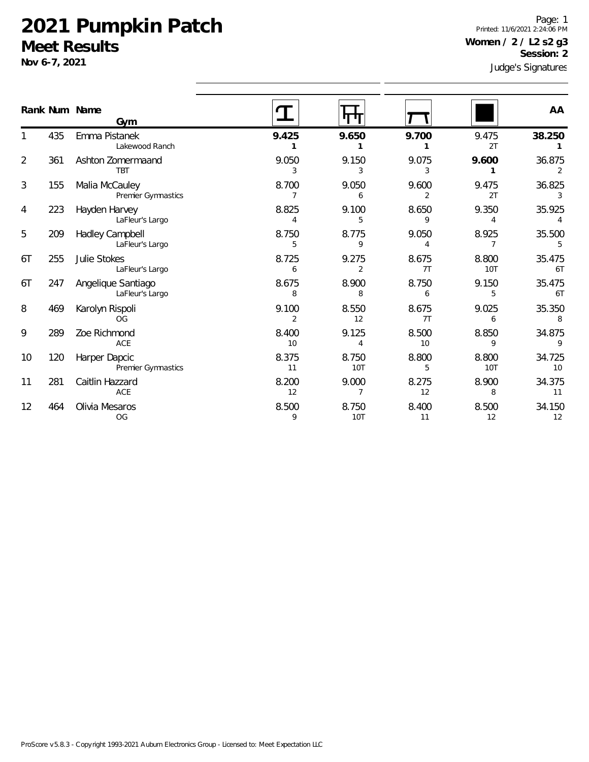**Nov 6-7, 2021**

Judge's Signatures Page: 1 Printed: 11/6/2021 2:24:06 PM **Women / 2 / L2 s2 g3 Session: 2**

| Rank Num Name |     | Gym                                        |                         | पाग                     |             |              | AA           |
|---------------|-----|--------------------------------------------|-------------------------|-------------------------|-------------|--------------|--------------|
|               | 435 | Emma Pistanek<br>Lakewood Ranch            | 9.425                   | 9.650                   | 9.700       | 9.475<br>2T  | 38.250       |
| 2             | 361 | Ashton Zomermaand<br><b>TBT</b>            | 9.050<br>3              | 9.150<br>3              | 9.075<br>3  | 9.600        | 36.875<br>2  |
| 3             | 155 | Malia McCauley<br>Premier Gymnastics       | 8.700                   | 9.050<br>6              | 9.600<br>2  | 9.475<br>2T  | 36.825<br>3  |
| 4             | 223 | Hayden Harvey<br>LaFleur's Largo           | 8.825<br>4              | 9.100<br>5              | 8.650<br>9  | 9.350<br>4   | 35.925<br>4  |
| 5             | 209 | Hadley Campbell<br>LaFleur's Largo         | 8.750<br>5              | 8.775<br>9              | 9.050       | 8.925        | 35.500       |
| 6T            | 255 | Julie Stokes<br>LaFleur's Largo            | 8.725<br>6              | 9.275<br>$\overline{2}$ | 8.675<br>7T | 8.800<br>10T | 35.475<br>6T |
| 6T            | 247 | Angelique Santiago<br>LaFleur's Largo      | 8.675<br>8              | 8.900<br>8              | 8.750<br>6  | 9.150<br>5   | 35.475<br>6T |
| 8             | 469 | Karolyn Rispoli<br><b>OG</b>               | 9.100<br>$\overline{2}$ | 8.550<br>12             | 8.675<br>7T | 9.025<br>6   | 35.350<br>8  |
| 9             | 289 | Zoe Richmond<br>ACE                        | 8.400<br>10             | 9.125<br>4              | 8.500<br>10 | 8.850<br>9   | 34.875<br>9  |
| 10            | 120 | Harper Dapcic<br><b>Premier Gymnastics</b> | 8.375<br>11             | 8.750<br><b>10T</b>     | 8.800<br>5  | 8.800<br>10T | 34.725<br>10 |
| 11            | 281 | Caitlin Hazzard<br>ACE                     | 8.200<br>12             | 9.000                   | 8.275<br>12 | 8.900<br>8   | 34.375<br>11 |
| 12            | 464 | Olivia Mesaros<br>OG                       | 8.500<br>9              | 8.750<br>10T            | 8.400<br>11 | 8.500<br>12  | 34.150<br>12 |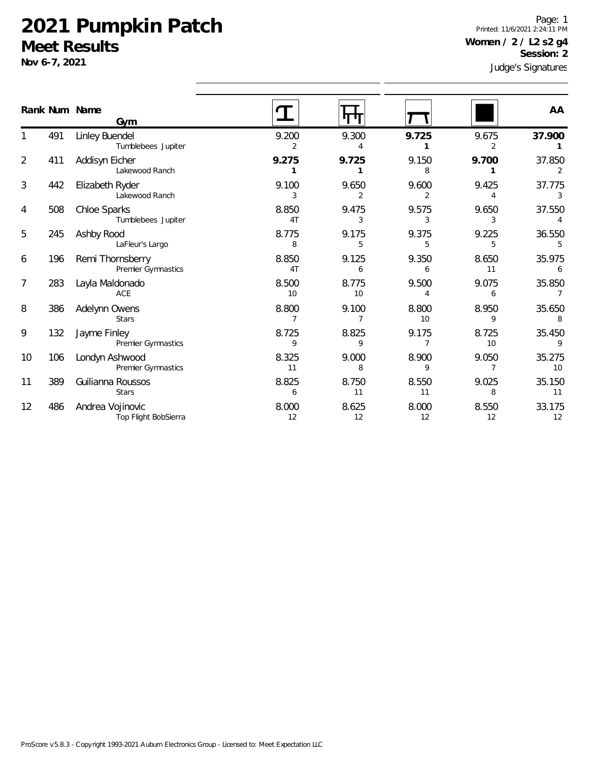**Nov 6-7, 2021**

1

2

3

4

5

6

7

8

9

10

11

12

Judge's Signatures Page: 1 Printed: 11/6/2021 2:24:11 PM **Women / 2 / L2 s2 g4 Session: 2**

|                |     | Rank Num Name<br>Gym                     |                         |                         |                         |                         | AA                       |
|----------------|-----|------------------------------------------|-------------------------|-------------------------|-------------------------|-------------------------|--------------------------|
| 1              | 491 | Linley Buendel<br>Tumblebees Jupiter     | 9.200<br>2              | 9.300<br>4              | 9.725<br>1              | 9.675<br>$\overline{2}$ | 37.900                   |
| $\overline{2}$ | 411 | Addisyn Eicher<br>Lakewood Ranch         | 9.275<br>1              | 9.725<br>1              | 9.150<br>8              | 9.700<br>1              | 37.850<br>2              |
| 3              | 442 | Elizabeth Ryder<br>Lakewood Ranch        | 9.100<br>3              | 9.650<br>$\overline{2}$ | 9.600<br>$\overline{2}$ | 9.425<br>4              | 37.775<br>3              |
| 4              | 508 | Chloe Sparks<br>Tumblebees Jupiter       | 8.850<br>4T             | 9.475<br>3              | 9.575<br>3              | 9.650<br>3              | 37.550                   |
| 5              | 245 | Ashby Rood<br>LaFleur's Largo            | 8.775<br>8              | 9.175<br>5              | 9.375<br>5              | 9.225<br>5              | 36.550<br>5              |
| 6              | 196 | Remi Thornsberry<br>Premier Gymnastics   | 8.850<br>4 <sub>T</sub> | 9.125<br>6              | 9.350<br>6              | 8.650<br>11             | 35.975<br>6              |
| 7              | 283 | Layla Maldonado<br>ACE                   | 8.500<br>10             | 8.775<br>10             | 9.500<br>4              | 9.075<br>6              | 35.850<br>$\overline{7}$ |
| 8              | 386 | Adelynn Owens<br><b>Stars</b>            | 8.800<br>$\overline{7}$ | 9.100<br>$\overline{7}$ | 8.800<br>10             | 8.950<br>9              | 35.650<br>8              |
| 9              | 132 | Jayme Finley<br>Premier Gymnastics       | 8.725<br>9              | 8.825<br>9              | 9.175<br>7              | 8.725<br>10             | 35.450<br>9              |
| 10             | 106 | Londyn Ashwood<br>Premier Gymnastics     | 8.325<br>11             | 9.000<br>8              | 8.900<br>9              | 9.050<br>7              | 35.275<br>10             |
| 11             | 389 | Guilianna Roussos<br><b>Stars</b>        | 8.825<br>6              | 8.750<br>11             | 8.550<br>11             | 9.025<br>8              | 35.150<br>11             |
| 12             | 486 | Andrea Vojinovic<br>Top Flight BobSierra | 8.000<br>12             | 8.625<br>12             | 8.000<br>12             | 8.550<br>12             | 33.175<br>12             |
|                |     |                                          |                         |                         |                         |                         |                          |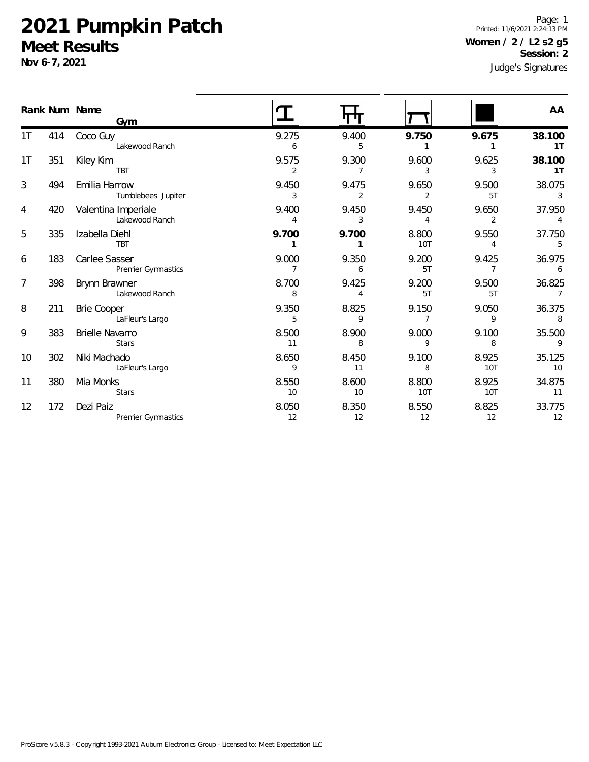**Nov 6-7, 2021**

 $1T$ 

1T

3

4

5

6

7

8

9

10

11

12

Judge's Signatures Page: 1 Printed: 11/6/2021 2:24:13 PM **Women / 2 / L2 s2 g5 Session: 2**

|     |                        |                |       |                |                | sange si sidi iarai es |
|-----|------------------------|----------------|-------|----------------|----------------|------------------------|
|     | Gym                    |                |       |                |                | AA                     |
| 414 | Coco Guy               | 9.275          | 9.400 | 9.750          | 9.675          | 38.100                 |
|     | Lakewood Ranch         | 6              | 5     | 1              | 1              | 1T                     |
| 351 | Kiley Kim              | 9.575          | 9.300 | 9.600          | 9.625          | 38.100                 |
|     | <b>TBT</b>             | 2              | 7     | 3              | 3              | 1T                     |
| 494 | Emilia Harrow          | 9.450          | 9.475 | 9.650          | 9.500          | 38.075                 |
|     | Tumblebees Jupiter     | 3              | 2     | $\overline{2}$ | 5T             | 3                      |
| 420 | Valentina Imperiale    | 9.400          | 9.450 | 9.450          | 9.650          | 37.950                 |
|     | Lakewood Ranch         | 4              | 3     | $\overline{4}$ | 2              | $\overline{4}$         |
| 335 | Izabella Diehl         | 9.700          | 9.700 | 8.800          | 9.550          | 37.750                 |
|     | <b>TBT</b>             | 1              | 1     | 10T            | $\overline{4}$ | 5                      |
| 183 | Carlee Sasser          | 9.000          | 9.350 | 9.200          | 9.425          | 36.975                 |
|     | Premier Gymnastics     | $\overline{7}$ | 6     | 5T             | $\overline{7}$ | 6                      |
| 398 | Brynn Brawner          | 8.700          | 9.425 | 9.200          | 9.500          | 36.825                 |
|     | Lakewood Ranch         | 8              | 4     | 5T             | 5T             | 7                      |
| 211 | Brie Cooper            | 9.350          | 8.825 | 9.150          | 9.050          | 36.375                 |
|     | LaFleur's Largo        | 5              | 9     | $\overline{7}$ | 9              | 8                      |
| 383 | <b>Brielle Navarro</b> | 8.500          | 8.900 | 9.000          | 9.100          | 35.500                 |
|     | <b>Stars</b>           | 11             | 8     | 9              | 8              | 9                      |
| 302 | Niki Machado           | 8.650          | 8.450 | 9.100          | 8.925          | 35.125                 |
|     | LaFleur's Largo        | 9              | 11    | 8              | <b>10T</b>     | 10                     |
| 380 | Mia Monks              | 8.550          | 8.600 | 8.800          | 8.925          | 34.875                 |
|     | <b>Stars</b>           | 10             | 10    | 10T            | <b>10T</b>     | 11                     |
| 172 | Dezi Paiz              | 8.050          | 8.350 | 8.550          | 8.825          | 33.775                 |
|     | Premier Gymnastics     | 12             | 12    | 12             | 12             | 12                     |
|     |                        | Rank Num Name  |       |                |                |                        |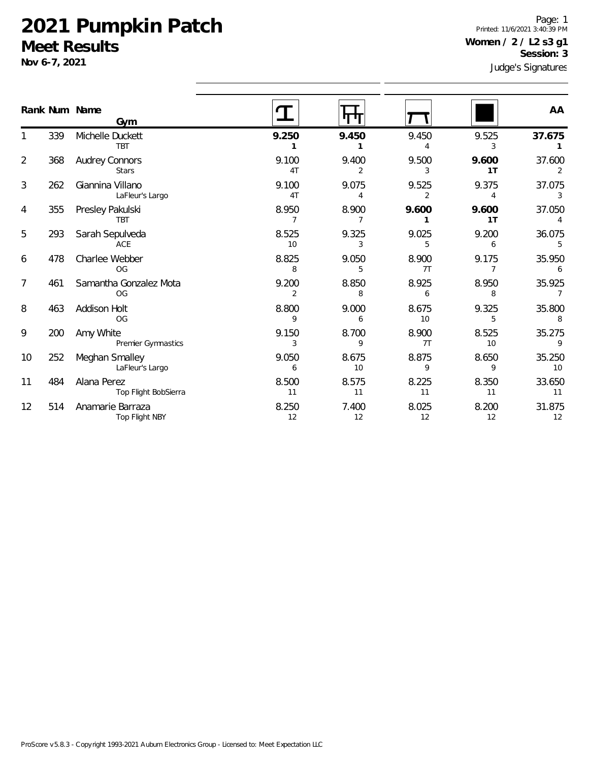**Nov 6-7, 2021**

Judge's Signatures Page: 1 Printed: 11/6/2021 3:40:39 PM **Women / 2 / L2 s3 g1 Session: 3**

|    |     | Rank Num Name<br>Gym                  |                         |             |                         |                         | AA           |
|----|-----|---------------------------------------|-------------------------|-------------|-------------------------|-------------------------|--------------|
|    | 339 | Michelle Duckett<br><b>TBT</b>        | 9.250                   | 9.450       | 9.450                   | 9.525<br>3              | 37.675       |
| 2  | 368 | <b>Audrey Connors</b><br><b>Stars</b> | 9.100<br>4T             | 9.400<br>2  | 9.500<br>3              | 9.600<br>1T             | 37.600       |
| 3  | 262 | Giannina Villano<br>LaFleur's Largo   | 9.100<br>4 <sub>T</sub> | 9.075       | 9.525<br>$\overline{2}$ | 9.375<br>4              | 37.075<br>3  |
| 4  | 355 | Presley Pakulski<br><b>TBT</b>        | 8.950                   | 8.900       | 9.600                   | 9.600<br>1T             | 37.050<br>4  |
| 5  | 293 | Sarah Sepulveda<br>ACE                | 8.525<br>10             | 9.325<br>3  | 9.025                   | 9.200<br>6              | 36.075<br>5  |
| 6  | 478 | Charlee Webber<br><b>OG</b>           | 8.825<br>8              | 9.050<br>5  | 8.900<br>7T             | 9.175<br>$\overline{7}$ | 35.950<br>6  |
| 7  | 461 | Samantha Gonzalez Mota<br><b>OG</b>   | 9.200<br>2              | 8.850<br>8  | 8.925<br>6              | 8.950<br>8              | 35.925<br>7  |
| 8  | 463 | Addison Holt<br>OG                    | 8.800<br>9              | 9.000<br>6  | 8.675<br>10             | 9.325<br>5              | 35.800<br>8  |
| 9  | 200 | Amy White<br>Premier Gymnastics       | 9.150<br>3              | 8.700<br>9  | 8.900<br>7T             | 8.525<br>10             | 35.275<br>9  |
| 10 | 252 | Meghan Smalley<br>LaFleur's Largo     | 9.050<br>6              | 8.675<br>10 | 8.875<br>9              | 8.650<br>9              | 35.250<br>10 |
| 11 | 484 | Alana Perez<br>Top Flight BobSierra   | 8.500<br>11             | 8.575<br>11 | 8.225<br>11             | 8.350<br>11             | 33.650<br>11 |
| 12 | 514 | Anamarie Barraza<br>Top Flight NBY    | 8.250<br>12             | 7.400<br>12 | 8.025<br>12             | 8.200<br>12             | 31.875<br>12 |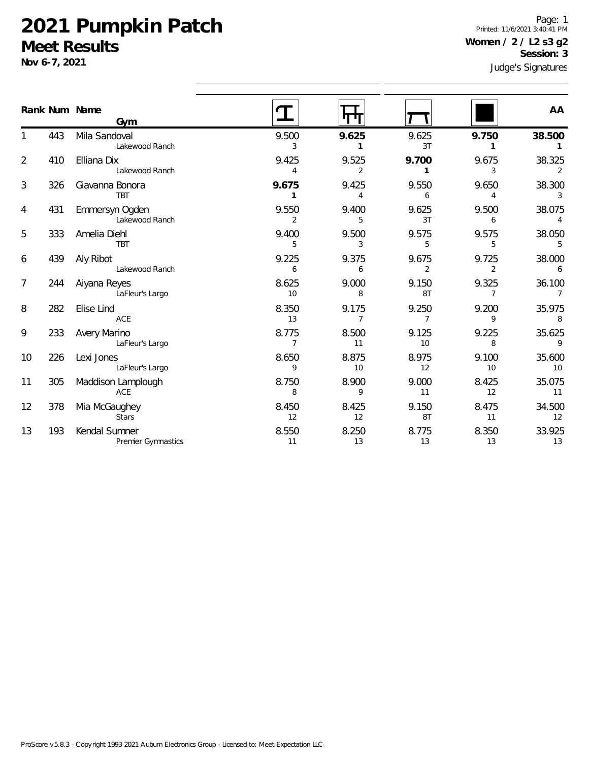**Nov 6-7, 2021**

1

2

3

4

5

6

7

8

9

10

11

12

13

Judge's Signatures Page: 1 Printed: 11/6/2021 3:40:41 PM **Women / 2 / L2 s3 g2 Session: 3**

|                |     | Rank Num Name<br>Gym                   |                         |                         |                         |                          | AA                       |  |
|----------------|-----|----------------------------------------|-------------------------|-------------------------|-------------------------|--------------------------|--------------------------|--|
| 1              | 443 | Mila Sandoval<br>Lakewood Ranch        | 9.500<br>3              | 9.625<br>$\mathbf{1}$   | 9.625<br>3T             | 9.750<br>1               | 38.500<br>1              |  |
| $\overline{2}$ | 410 | Elliana Dix<br>Lakewood Ranch          | 9.425<br>$\overline{4}$ | 9.525<br>$\overline{2}$ | 9.700                   | 9.675<br>3               | 38.325<br>2              |  |
| 3              | 326 | Giavanna Bonora<br><b>TBT</b>          | 9.675<br>$\mathbf{1}$   | 9.425<br>$\overline{4}$ | 9.550<br>6              | 9.650<br>4               | 38.300<br>3              |  |
| 4              | 431 | Emmersyn Ogden<br>Lakewood Ranch       | 9.550<br>$\overline{2}$ | 9.400<br>5              | 9.625<br>3T             | 9.500<br>6               | 38.075<br>$\overline{4}$ |  |
| 5              | 333 | Amelia Diehl<br><b>TBT</b>             | 9.400<br>5              | 9.500<br>3              | 9.575<br>5              | 9.575<br>5               | 38.050<br>5              |  |
| 6              | 439 | Aly Ribot<br>Lakewood Ranch            | 9.225<br>6              | 9.375<br>6              | 9.675<br>$\overline{2}$ | 9.725<br>$\overline{2}$  | 38.000<br>6              |  |
| 7              | 244 | Aiyana Reyes<br>LaFleur's Largo        | 8.625<br>10             | 9.000<br>8              | 9.150<br>8T             | 9.325<br>$\overline{7}$  | 36.100<br>$\overline{7}$ |  |
| 8              | 282 | Elise Lind<br>ACE                      | 8.350<br>13             | 9.175<br>$\overline{7}$ | 9.250<br>7              | 9.200<br>9               | 35.975<br>8              |  |
| 9              | 233 | <b>Avery Marino</b><br>LaFleur's Largo | 8.775<br>$\overline{7}$ | 8.500<br>11             | 9.125<br>10             | 9.225<br>8               | 35.625<br>9              |  |
| 10             | 226 | Lexi Jones<br>LaFleur's Largo          | 8.650<br>9              | 8.875<br>10             | 8.975<br>12             | 9.100<br>10 <sup>1</sup> | 35.600<br>10             |  |
| 11             | 305 | Maddison Lamplough<br>ACE              | 8.750<br>8              | 8.900<br>9              | 9.000<br>11             | 8.425<br>12              | 35.075<br>11             |  |
| 12             | 378 | Mia McGaughey<br><b>Stars</b>          | 8.450<br>12             | 8.425<br>12             | 9.150<br>8T             | 8.475<br>11              | 34.500<br>12             |  |
| 13             | 193 | Kendal Sumner<br>Premier Gymnastics    | 8.550<br>11             | 8.250<br>13             | 8.775<br>13             | 8.350<br>13              | 33.925<br>13             |  |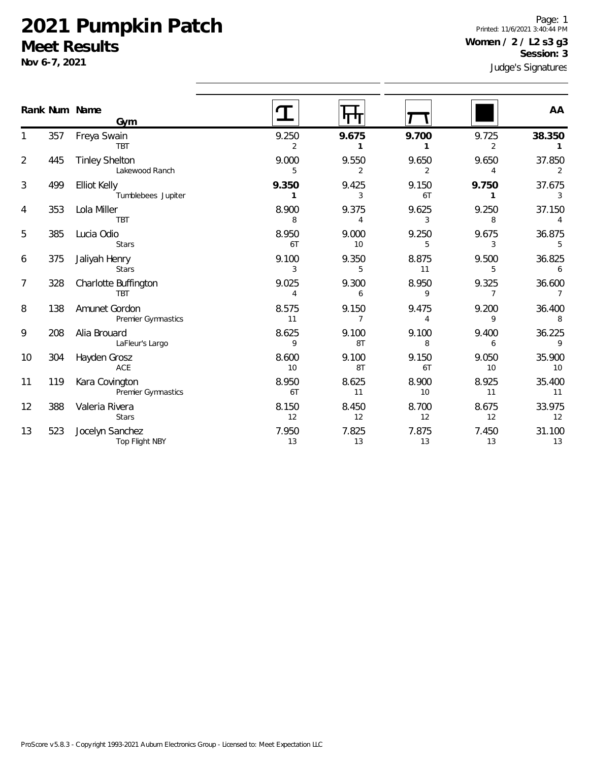**Nov 6-7, 2021**

1

2

3

4

5

6

7

8

9

10

11

12

13

Judge's Signatures Page: 1 Printed: 11/6/2021 3:40:44 PM **Women / 2 / L2 s3 g3 Session: 3**

|                |     | Rank Num Name<br>Gym                    |                         |                         |                         |                          | AA                       |
|----------------|-----|-----------------------------------------|-------------------------|-------------------------|-------------------------|--------------------------|--------------------------|
| 1              | 357 | Freya Swain<br>TBT                      | 9.250<br>2              | 9.675<br>$\mathbf{1}$   | 9.700<br>1              | 9.725<br>$\overline{2}$  | 38.350<br>$\mathbf{1}$   |
| $\overline{2}$ | 445 | <b>Tinley Shelton</b><br>Lakewood Ranch | 9.000<br>5              | 9.550<br>$\overline{2}$ | 9.650<br>$\overline{2}$ | 9.650<br>4               | 37.850<br>2              |
| 3              | 499 | Elliot Kelly<br>Tumblebees Jupiter      | 9.350<br>$\mathbf{1}$   | 9.425<br>3              | 9.150<br>6T             | 9.750<br>1               | 37.675<br>$\mathbf{3}$   |
| 4              | 353 | Lola Miller<br><b>TBT</b>               | 8.900<br>8              | 9.375<br>4              | 9.625<br>3              | 9.250<br>8               | 37.150<br>$\overline{4}$ |
| 5              | 385 | Lucia Odio<br><b>Stars</b>              | 8.950<br>6T             | 9.000<br>10             | 9.250<br>5              | 9.675<br>3               | 36.875<br>5              |
| 6              | 375 | Jaliyah Henry<br><b>Stars</b>           | 9.100<br>3              | 9.350<br>5              | 8.875<br>11             | 9.500<br>5               | 36.825<br>6              |
| 7              | 328 | Charlotte Buffington<br>TBT             | 9.025<br>$\overline{4}$ | 9.300<br>6              | 8.950<br>9              | 9.325<br>$\overline{7}$  | 36.600<br>$\overline{7}$ |
| 8              | 138 | Amunet Gordon<br>Premier Gymnastics     | 8.575<br>11             | 9.150<br>$\overline{7}$ | 9.475<br>4              | 9.200<br>9               | 36.400<br>8              |
| 9              | 208 | Alia Brouard<br>LaFleur's Largo         | 8.625<br>9              | 9.100<br>8T             | 9.100<br>8              | 9.400<br>6               | 36.225<br>$\overline{9}$ |
| 10             | 304 | Hayden Grosz<br>ACE                     | 8.600<br>10             | 9.100<br>8T             | 9.150<br>6T             | 9.050<br>10 <sup>°</sup> | 35.900<br>10             |
| 11             | 119 | Kara Covington<br>Premier Gymnastics    | 8.950<br>6T             | 8.625<br>11             | 8.900<br>10             | 8.925<br>11              | 35.400<br>11             |
| 12             | 388 | Valeria Rivera<br><b>Stars</b>          | 8.150<br>12             | 8.450<br>12             | 8.700<br>12             | 8.675<br>12              | 33.975<br>12             |
| 13             | 523 | Jocelyn Sanchez<br>Top Flight NBY       | 7.950<br>13             | 7.825<br>13             | 7.875<br>13             | 7.450<br>13              | 31.100<br>13             |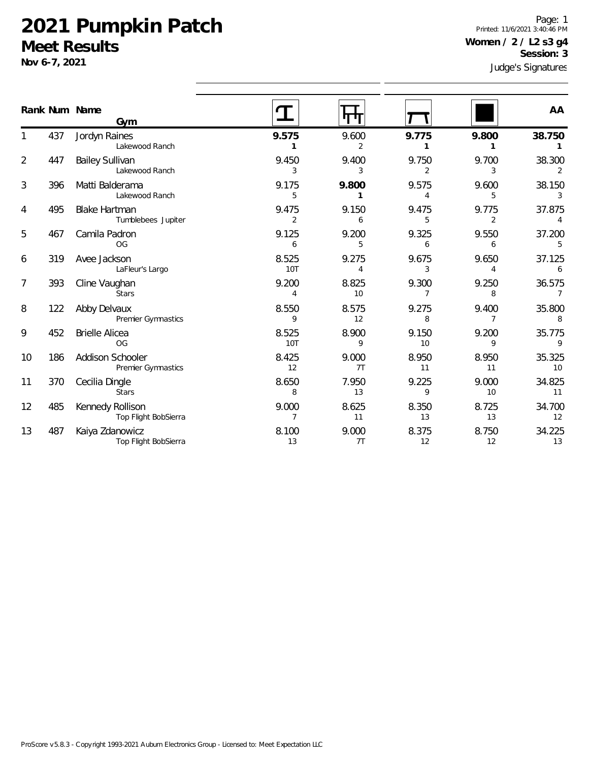**Nov 6-7, 2021**

Page: 1 Printed: 11/6/2021 3:40:46 PM **Women / 2 / L2 s3 g4 Session: 3**

Judge's Signatures

|                |     | Rank Num Name<br>Gym                       |                         |                         |                         |                         | AA                       |
|----------------|-----|--------------------------------------------|-------------------------|-------------------------|-------------------------|-------------------------|--------------------------|
|                | 437 | Jordyn Raines<br>Lakewood Ranch            | 9.575<br>1              | 9.600<br>$\overline{2}$ | 9.775<br>1              | 9.800<br>1              | 38.750                   |
| $\overline{2}$ | 447 | <b>Bailey Sullivan</b><br>Lakewood Ranch   | 9.450<br>3              | 9.400<br>3              | 9.750<br>$\overline{2}$ | 9.700<br>3              | 38.300<br>$\mathcal{P}$  |
| 3              | 396 | Matti Balderama<br>Lakewood Ranch          | 9.175<br>5              | 9.800<br>1              | 9.575<br>4              | 9.600<br>5              | 38.150<br>3              |
| 4              | 495 | <b>Blake Hartman</b><br>Tumblebees Jupiter | 9.475<br>2              | 9.150<br>6              | 9.475<br>5              | 9.775<br>$\overline{2}$ | 37.875<br>4              |
| 5              | 467 | Camila Padron<br>OG                        | 9.125<br>6              | 9.200<br>5              | 9.325<br>6              | 9.550<br>6              | 37.200<br>5              |
| 6              | 319 | Avee Jackson<br>LaFleur's Largo            | 8.525<br><b>10T</b>     | 9.275<br>4              | 9.675<br>3              | 9.650<br>$\overline{4}$ | 37.125<br>6              |
| 7              | 393 | Cline Vaughan<br><b>Stars</b>              | 9.200<br>$\overline{4}$ | 8.825<br>10             | 9.300<br>$\overline{7}$ | 9.250<br>8              | 36.575<br>$\overline{7}$ |
| 8              | 122 | Abby Delvaux<br>Premier Gymnastics         | 8.550<br>9              | 8.575<br>12             | 9.275<br>8              | 9.400<br>$\overline{7}$ | 35.800<br>8              |
| 9              | 452 | <b>Brielle Alicea</b><br><b>OG</b>         | 8.525<br><b>10T</b>     | 8.900<br>9              | 9.150<br>10             | 9.200<br>9              | 35.775<br>9              |
| 10             | 186 | Addison Schooler<br>Premier Gymnastics     | 8.425<br>12             | 9.000<br>7T             | 8.950<br>11             | 8.950<br>11             | 35.325<br>10             |
| 11             | 370 | Cecilia Dingle<br><b>Stars</b>             | 8.650<br>8              | 7.950<br>13             | 9.225<br>9              | 9.000<br>10             | 34.825<br>11             |
| 12             | 485 | Kennedy Rollison<br>Top Flight BobSierra   | 9.000<br>7              | 8.625<br>11             | 8.350<br>13             | 8.725<br>13             | 34.700<br>12             |
| 13             | 487 | Kaiya Zdanowicz<br>Top Flight BobSierra    | 8.100<br>13             | 9.000<br>7T             | 8.375<br>12             | 8.750<br>12             | 34.225<br>13             |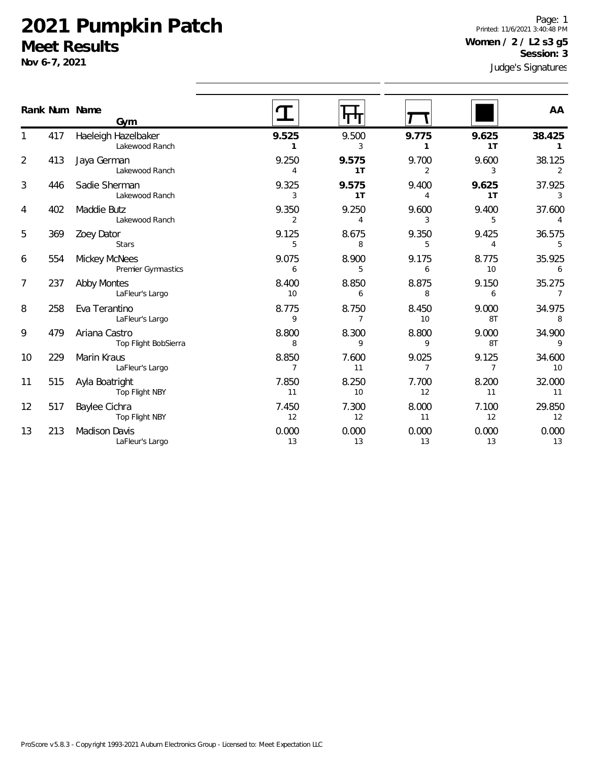**Nov 6-7, 2021**

1

2

3

4

5

6

7

8

9

10

11

12

13

Judge's Signatures Page: 1 Printed: 11/6/2021 3:40:48 PM **Women / 2 / L2 s3 g5 Session: 3**

|    |     | Rank Num Name<br>Gym                       |                          |             |                         |                         | AA                       |
|----|-----|--------------------------------------------|--------------------------|-------------|-------------------------|-------------------------|--------------------------|
| 1  | 417 | Haeleigh Hazelbaker<br>Lakewood Ranch      | 9.525<br>1               | 9.500<br>3  | 9.775<br>1              | 9.625<br>1 <sub>T</sub> | 38.425<br>$\mathbf{1}$   |
| 2  | 413 | Jaya German<br>Lakewood Ranch              | 9.250<br>$\overline{4}$  | 9.575<br>1T | 9.700<br>$\overline{2}$ | 9.600<br>3              | 38.125<br>2              |
| 3  | 446 | Sadie Sherman<br>Lakewood Ranch            | 9.325<br>3               | 9.575<br>1T | 9.400<br>4              | 9.625<br>1T             | 37.925<br>3              |
| 4  | 402 | Maddie Butz<br>Lakewood Ranch              | 9.350<br>2               | 9.250<br>4  | 9.600<br>3              | 9.400<br>5              | 37.600<br>$\Delta$       |
| 5  | 369 | Zoey Dator<br><b>Stars</b>                 | 9.125<br>5               | 8.675<br>8  | 9.350<br>5              | 9.425<br>4              | 36.575<br>5              |
| 6  | 554 | <b>Mickey McNees</b><br>Premier Gymnastics | 9.075<br>6               | 8.900<br>5  | 9.175<br>6              | 8.775<br>10             | 35.925<br>6              |
| 7  | 237 | <b>Abby Montes</b><br>LaFleur's Largo      | 8.400<br>10 <sup>°</sup> | 8.850<br>6  | 8.875<br>8              | 9.150<br>6              | 35.275<br>$\overline{7}$ |
| 8  | 258 | Eva Terantino<br>LaFleur's Largo           | 8.775<br>9               | 8.750<br>7  | 8.450<br>10             | 9.000<br>8T             | 34.975<br>8              |
| 9  | 479 | Ariana Castro<br>Top Flight BobSierra      | 8.800<br>8               | 8.300<br>9  | 8.800<br>9              | 9.000<br>8T             | 34.900<br>9              |
| 10 | 229 | Marin Kraus<br>LaFleur's Largo             | 8.850<br>$\overline{7}$  | 7.600<br>11 | 9.025<br>$\overline{7}$ | 9.125<br>$\overline{7}$ | 34.600<br>10             |
| 11 | 515 | Ayla Boatright<br>Top Flight NBY           | 7.850<br>11              | 8.250<br>10 | 7.700<br>12             | 8.200<br>11             | 32.000<br>11             |
| 12 | 517 | Baylee Cichra<br>Top Flight NBY            | 7.450<br>12              | 7.300<br>12 | 8.000<br>11             | 7.100<br>12             | 29.850<br>12             |
| 13 | 213 | Madison Davis<br>LaFleur's Largo           | 0.000<br>13              | 0.000<br>13 | 0.000<br>13             | 0.000<br>13             | 0.000<br>13              |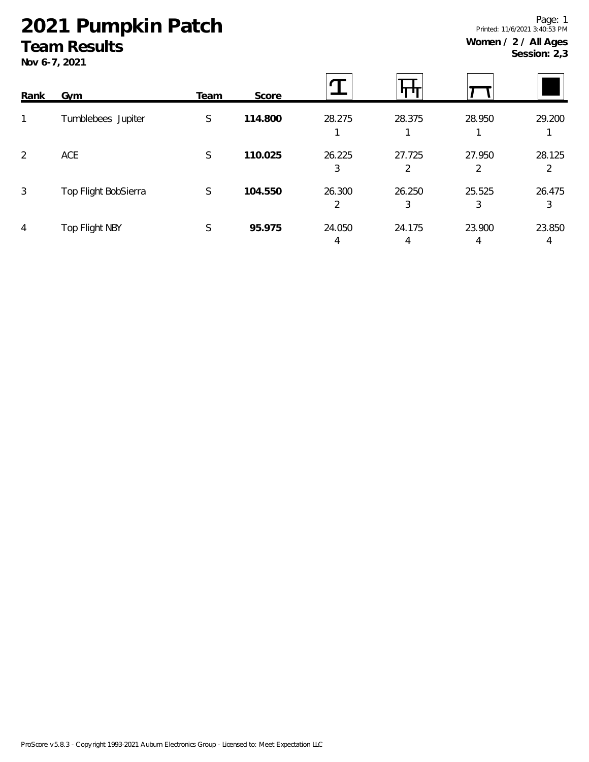## **2021 Pumpkin Patch**

#### **Team Results**

**Nov 6-7, 2021**

2 3 3 3

4 4 4 4

 $\mathbf T$ 旰 Ţ **Rank Gym Team Score** 1 Tumblebees Jupiter S **114.800** 28.275 28.375 28.950 29.200 1 1 1 1 2 ACE S **110.025** 26.225 27.725 27.950 28.125 3 2 2 2 3 Top Flight BobSierra S **104.550** 26.300 26.250 25.525 26.475

4 Top Flight NBY S **95.975** 24.050 24.175 23.900 23.850